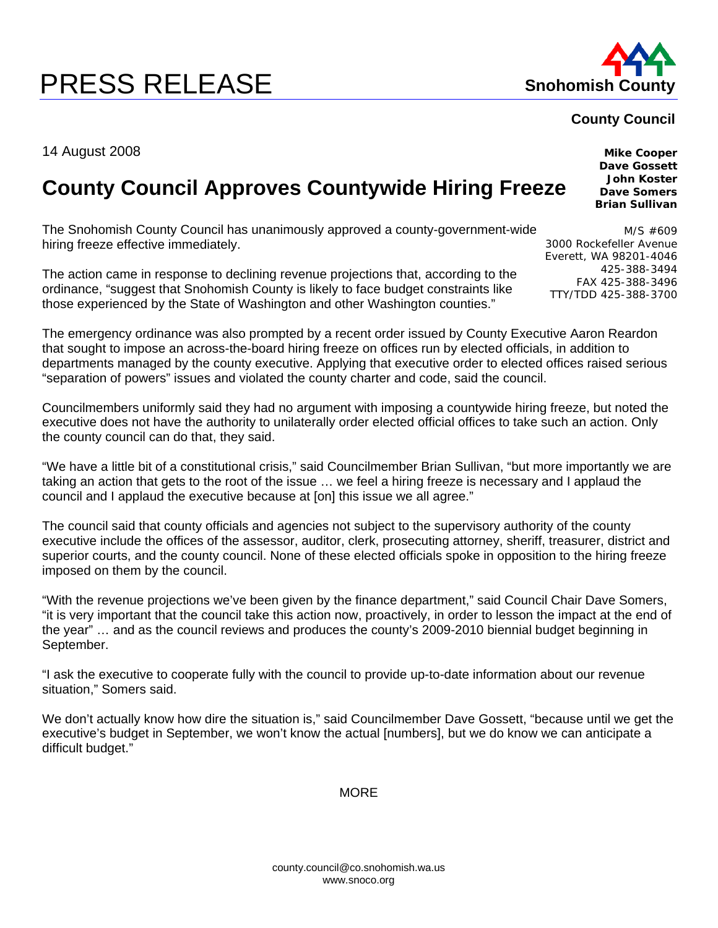## **PRESS RELEASE Shohomish County**



## **County Council**

14 August 2008

## **County Council Approves Countywide Hiring Freeze**

The Snohomish County Council has unanimously approved a county-government-wide hiring freeze effective immediately.

The action came in response to declining revenue projections that, according to the ordinance, "suggest that Snohomish County is likely to face budget constraints like those experienced by the State of Washington and other Washington counties."

The emergency ordinance was also prompted by a recent order issued by County Executive Aaron Reardon that sought to impose an across-the-board hiring freeze on offices run by elected officials, in addition to departments managed by the county executive. Applying that executive order to elected offices raised serious "separation of powers" issues and violated the county charter and code, said the council.

Councilmembers uniformly said they had no argument with imposing a countywide hiring freeze, but noted the executive does not have the authority to unilaterally order elected official offices to take such an action. Only the county council can do that, they said.

"We have a little bit of a constitutional crisis," said Councilmember Brian Sullivan, "but more importantly we are taking an action that gets to the root of the issue … we feel a hiring freeze is necessary and I applaud the council and I applaud the executive because at [on] this issue we all agree."

The council said that county officials and agencies not subject to the supervisory authority of the county executive include the offices of the assessor, auditor, clerk, prosecuting attorney, sheriff, treasurer, district and superior courts, and the county council. None of these elected officials spoke in opposition to the hiring freeze imposed on them by the council.

"With the revenue projections we've been given by the finance department," said Council Chair Dave Somers, "it is very important that the council take this action now, proactively, in order to lesson the impact at the end of the year" … and as the council reviews and produces the county's 2009-2010 biennial budget beginning in September.

"I ask the executive to cooperate fully with the council to provide up-to-date information about our revenue situation," Somers said.

We don't actually know how dire the situation is," said Councilmember Dave Gossett, "because until we get the executive's budget in September, we won't know the actual [numbers], but we do know we can anticipate a difficult budget."

**MORF** 

county.council@co.snohomish.wa.us www.snoco.org

**Mike Cooper Dave Gossett John Koster Dave Somers Brian Sullivan** 

M/S #609 3000 Rockefeller Avenue Everett, WA 98201-4046 425-388-3494 FAX 425-388-3496 TTY/TDD 425-388-3700